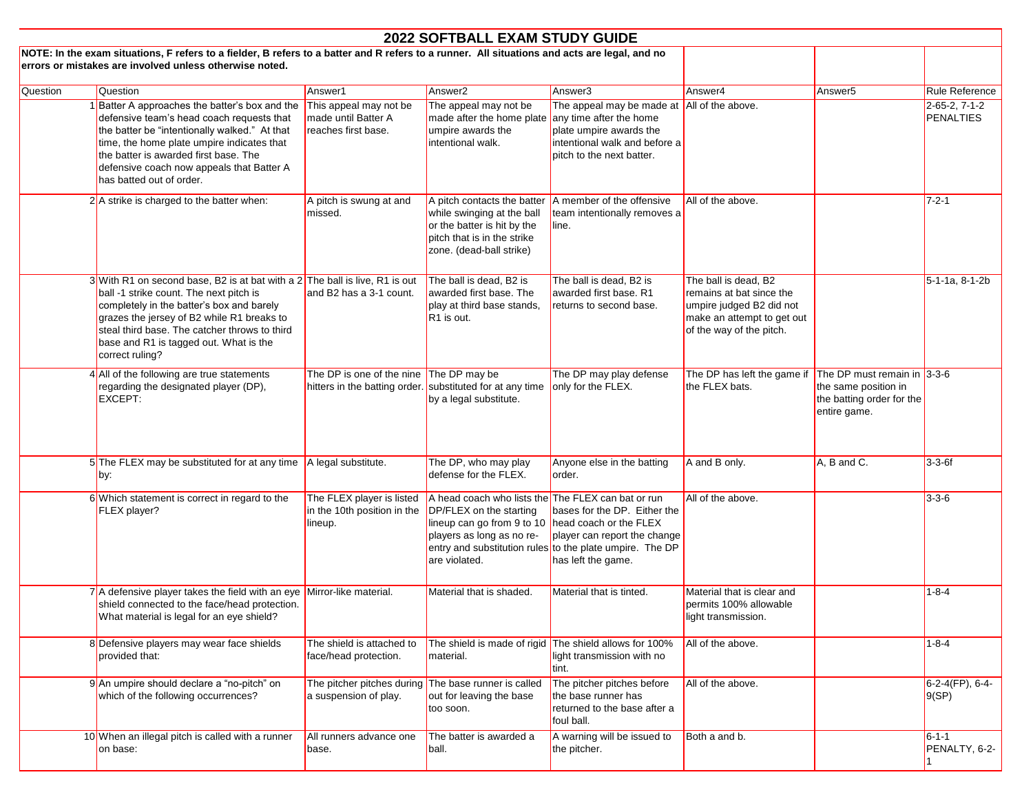|          |                                                                                                                                                                                                                                                                                                                                   |                                                                                                      | <b>2022 SOFTBALL EXAM STUDY GUIDE</b>                                                                                                                                                   |                                                                                                                                                                 |                                                                                                                                        |                                                                                                  |                              |
|----------|-----------------------------------------------------------------------------------------------------------------------------------------------------------------------------------------------------------------------------------------------------------------------------------------------------------------------------------|------------------------------------------------------------------------------------------------------|-----------------------------------------------------------------------------------------------------------------------------------------------------------------------------------------|-----------------------------------------------------------------------------------------------------------------------------------------------------------------|----------------------------------------------------------------------------------------------------------------------------------------|--------------------------------------------------------------------------------------------------|------------------------------|
|          | NOTE: In the exam situations, F refers to a fielder, B refers to a batter and R refers to a runner. All situations and acts are legal, and no<br>errors or mistakes are involved unless otherwise noted.                                                                                                                          |                                                                                                      |                                                                                                                                                                                         |                                                                                                                                                                 |                                                                                                                                        |                                                                                                  |                              |
| Question | Question                                                                                                                                                                                                                                                                                                                          | Answer1                                                                                              | Answer <sub>2</sub>                                                                                                                                                                     | Answer3                                                                                                                                                         | Answer4                                                                                                                                | Answer <sub>5</sub>                                                                              | Rule Reference               |
|          | 1 Batter A approaches the batter's box and the<br>defensive team's head coach requests that<br>the batter be "intentionally walked." At that<br>time, the home plate umpire indicates that<br>the batter is awarded first base. The<br>defensive coach now appeals that Batter A<br>has batted out of order.                      | This appeal may not be<br>made until Batter A<br>reaches first base.                                 | The appeal may not be<br>made after the home plate<br>umpire awards the<br>intentional walk.                                                                                            | The appeal may be made at All of the above.<br>any time after the home<br>plate umpire awards the<br>intentional walk and before a<br>pitch to the next batter. |                                                                                                                                        |                                                                                                  | 2-65-2, 7-1-2<br>PENALTIES   |
|          | $2$ A strike is charged to the batter when:                                                                                                                                                                                                                                                                                       | A pitch is swung at and<br>missed.                                                                   | A pitch contacts the batter<br>while swinging at the ball<br>or the batter is hit by the<br>pitch that is in the strike<br>zone. (dead-ball strike)                                     | A member of the offensive<br>team intentionally removes a<br>line.                                                                                              | All of the above.                                                                                                                      |                                                                                                  | $7 - 2 - 1$                  |
|          | $3$ With R1 on second base, B2 is at bat with a 2 The ball is live, R1 is out<br>ball -1 strike count. The next pitch is<br>completely in the batter's box and barely<br>grazes the jersey of B2 while R1 breaks to<br>steal third base. The catcher throws to third<br>base and R1 is tagged out. What is the<br>correct ruling? | and B2 has a 3-1 count.                                                                              | The ball is dead, B2 is<br>awarded first base. The<br>play at third base stands,<br>R <sub>1</sub> is out.                                                                              | The ball is dead, B2 is<br>awarded first base. R1<br>returns to second base.                                                                                    | The ball is dead, B2<br>remains at bat since the<br>umpire judged B2 did not<br>make an attempt to get out<br>of the way of the pitch. |                                                                                                  | $5-1-1a$ , 8-1-2b            |
|          | 4 All of the following are true statements<br>regarding the designated player (DP),<br>EXCEPT:                                                                                                                                                                                                                                    | The DP is one of the nine The DP may be<br>hitters in the batting order. substituted for at any time | by a legal substitute.                                                                                                                                                                  | The DP may play defense<br>only for the FLEX.                                                                                                                   | The DP has left the game if<br>the FLEX bats.                                                                                          | The DP must remain in 3-3-6<br>the same position in<br>the batting order for the<br>entire game. |                              |
|          | 5 The FLEX may be substituted for at any time<br>by:                                                                                                                                                                                                                                                                              | A legal substitute.                                                                                  | The DP, who may play<br>defense for the FLEX.                                                                                                                                           | Anyone else in the batting<br>order.                                                                                                                            | A and B only.                                                                                                                          | A, B and C.                                                                                      | $3-3-6f$                     |
|          | 6 Which statement is correct in regard to the<br>FLEX player?                                                                                                                                                                                                                                                                     | The FLEX player is listed<br>in the 10th position in the<br>lineup.                                  | A head coach who lists the The FLEX can bat or run<br><b>DP/FLEX</b> on the starting<br>lineup can go from 9 to 10 head coach or the FLEX<br>players as long as no re-<br>are violated. | bases for the DP. Either the<br>player can report the change<br>entry and substitution rules to the plate umpire. The DP<br>has left the game.                  | All of the above.                                                                                                                      |                                                                                                  | $3 - 3 - 6$                  |
|          | $7$ A defensive player takes the field with an eye Mirror-like material.<br>shield connected to the face/head protection.<br>What material is legal for an eye shield?                                                                                                                                                            |                                                                                                      | Material that is shaded.                                                                                                                                                                | Material that is tinted.                                                                                                                                        | Material that is clear and<br>permits 100% allowable<br>light transmission.                                                            |                                                                                                  | 1-8-4                        |
|          | 8 Defensive players may wear face shields<br>provided that:                                                                                                                                                                                                                                                                       | The shield is attached to<br>face/head protection.                                                   | The shield is made of rigid The shield allows for 100%<br>material.                                                                                                                     | light transmission with no<br>tint.                                                                                                                             | All of the above.                                                                                                                      |                                                                                                  | $1 - 8 - 4$                  |
|          | 9 An umpire should declare a "no-pitch" on<br>which of the following occurrences?                                                                                                                                                                                                                                                 | The pitcher pitches during The base runner is called<br>a suspension of play.                        | out for leaving the base<br>too soon.                                                                                                                                                   | The pitcher pitches before<br>the base runner has<br>returned to the base after a<br>foul ball.                                                                 | All of the above.                                                                                                                      |                                                                                                  | $6-2-4(FP)$ , 6-4-<br>9(SP)  |
|          | 10 When an illegal pitch is called with a runner<br>on base:                                                                                                                                                                                                                                                                      | All runners advance one<br>base.                                                                     | The batter is awarded a<br>ball.                                                                                                                                                        | A warning will be issued to<br>the pitcher.                                                                                                                     | Both a and b.                                                                                                                          |                                                                                                  | $6 - 1 - 1$<br>PENALTY, 6-2- |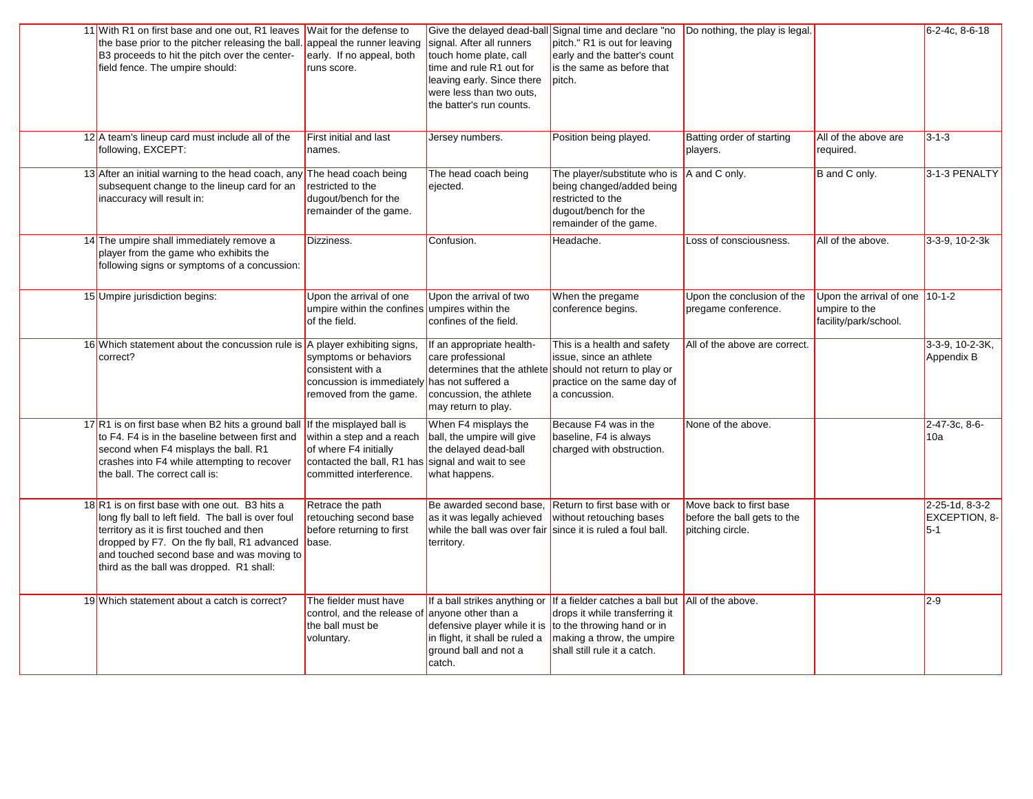| 11 With R1 on first base and one out, R1 leaves Wait for the defense to<br>the base prior to the pitcher releasing the ball.<br>B3 proceeds to hit the pitch over the center-<br>field fence. The umpire should:                                                                         | appeal the runner leaving<br>early. If no appeal, both<br>runs score.                                                                                          | signal. After all runners<br>touch home plate, call<br>time and rule R1 out for<br>leaving early. Since there<br>were less than two outs,<br>the batter's run counts. | Give the delayed dead-ball Signal time and declare "no<br>pitch." R1 is out for leaving<br>early and the batter's count<br>is the same as before that<br>pitch.                                               | Do nothing, the play is legal.                                             |                                                                   | 6-2-4c, 8-6-18                           |
|------------------------------------------------------------------------------------------------------------------------------------------------------------------------------------------------------------------------------------------------------------------------------------------|----------------------------------------------------------------------------------------------------------------------------------------------------------------|-----------------------------------------------------------------------------------------------------------------------------------------------------------------------|---------------------------------------------------------------------------------------------------------------------------------------------------------------------------------------------------------------|----------------------------------------------------------------------------|-------------------------------------------------------------------|------------------------------------------|
| $12$ A team's lineup card must include all of the<br>following, EXCEPT:                                                                                                                                                                                                                  | First initial and last<br>names.                                                                                                                               | Jersey numbers.                                                                                                                                                       | Position being played.                                                                                                                                                                                        | Batting order of starting<br>players.                                      | All of the above are<br>required.                                 | $3 - 1 - 3$                              |
| 13 After an initial warning to the head coach, any<br>subsequent change to the lineup card for an<br>inaccuracy will result in:                                                                                                                                                          | The head coach being<br>restricted to the<br>dugout/bench for the<br>remainder of the game.                                                                    | The head coach being<br>ejected.                                                                                                                                      | The player/substitute who is<br>being changed/added being<br>restricted to the<br>dugout/bench for the<br>remainder of the game.                                                                              | A and C only.                                                              | B and C only.                                                     | 3-1-3 PENALTY                            |
| 14 The umpire shall immediately remove a<br>player from the game who exhibits the<br>following signs or symptoms of a concussion:                                                                                                                                                        | Dizziness.                                                                                                                                                     | Confusion.                                                                                                                                                            | Headache.                                                                                                                                                                                                     | Loss of consciousness.                                                     | All of the above.                                                 | 3-3-9, 10-2-3k                           |
| 15 Umpire jurisdiction begins:                                                                                                                                                                                                                                                           | Upon the arrival of one<br>umpire within the confines umpires within the<br>of the field.                                                                      | Upon the arrival of two<br>confines of the field.                                                                                                                     | When the pregame<br>conference begins.                                                                                                                                                                        | Upon the conclusion of the<br>pregame conference.                          | Upon the arrival of one<br>umpire to the<br>facility/park/school. | $10 - 1 - 2$                             |
| 16 Which statement about the concussion rule is A player exhibiting signs,<br>correct?                                                                                                                                                                                                   | symptoms or behaviors<br>consistent with a<br>concussion is immediatel<br>removed from the game.                                                               | If an appropriate health-<br>care professional<br>determines that the athlete<br>has not suffered a<br>concussion, the athlete<br>may return to play.                 | This is a health and safety<br>issue, since an athlete<br>should not return to play or<br>practice on the same day of<br>a concussion.                                                                        | All of the above are correct.                                              |                                                                   | 3-3-9, 10-2-3K,<br>Appendix B            |
| 17R1 is on first base when B2 hits a ground ball<br>to F4. F4 is in the baseline between first and<br>second when F4 misplays the ball. R1<br>crashes into F4 while attempting to recover<br>the ball. The correct call is:                                                              | If the misplayed ball is<br>within a step and a reach<br>of where F4 initially<br>contacted the ball, R1 has signal and wait to see<br>committed interference. | When F4 misplays the<br>ball, the umpire will give<br>the delayed dead-ball<br>what happens.                                                                          | Because F4 was in the<br>baseline, F4 is always<br>charged with obstruction.                                                                                                                                  | None of the above.                                                         |                                                                   | 2-47-3c, 8-6-<br>10a                     |
| 18R1 is on first base with one out. B3 hits a<br>long fly ball to left field. The ball is over foul<br>territory as it is first touched and then<br>dropped by F7. On the fly ball, R1 advanced<br>and touched second base and was moving to<br>third as the ball was dropped. R1 shall: | Retrace the path<br>retouching second base<br>before returning to first<br>base.                                                                               | Be awarded second base,<br>as it was legally achieved<br>while the ball was over fair since it is ruled a foul ball.<br>territory.                                    | Return to first base with or<br>without retouching bases                                                                                                                                                      | Move back to first base<br>before the ball gets to the<br>pitching circle. |                                                                   | 2-25-1d, 8-3-2<br>EXCEPTION, 8-<br>$5-1$ |
| 19 Which statement about a catch is correct?                                                                                                                                                                                                                                             | The fielder must have<br>control, and the release of<br>the ball must be<br>voluntary.                                                                         | anyone other than a<br>defensive player while it is<br>in flight, it shall be ruled a<br>ground ball and not a<br>catch.                                              | If a ball strikes anything or If a fielder catches a ball but All of the above.<br>drops it while transferring it<br>to the throwing hand or in<br>making a throw, the umpire<br>shall still rule it a catch. |                                                                            |                                                                   | $2-9$                                    |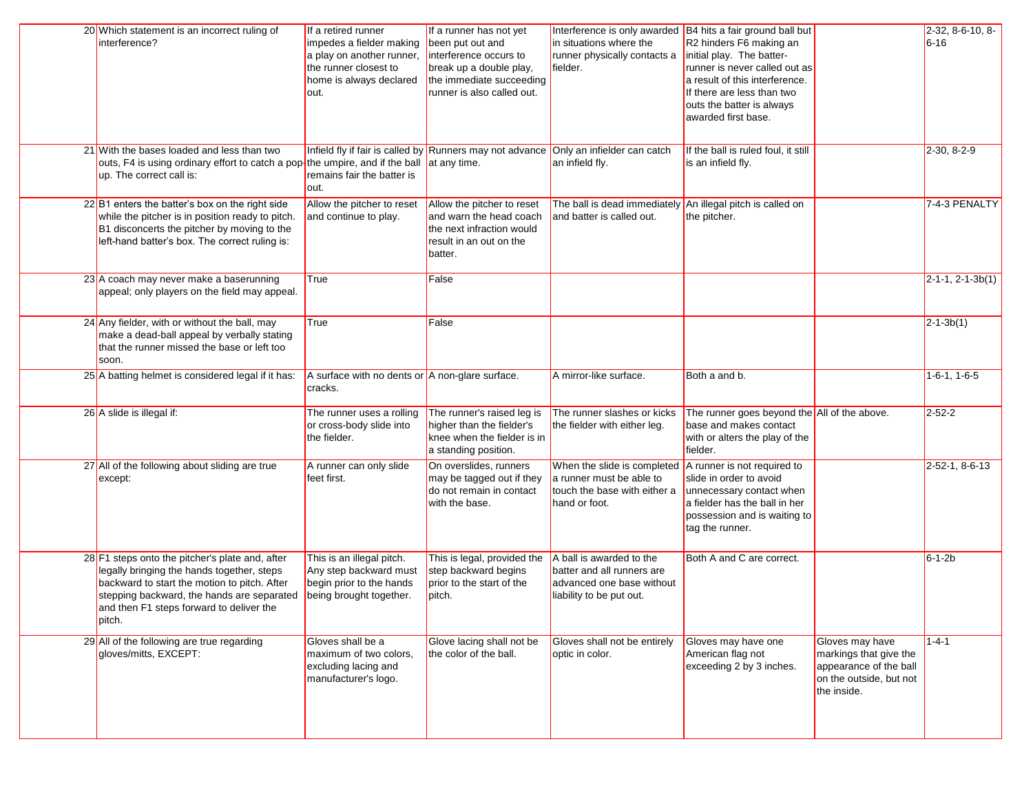| 20 Which statement is an incorrect ruling of<br>interference?                                                                                                                                                                                     | If a retired runner<br>impedes a fielder making<br>a play on another runner,<br>the runner closest to<br>home is always declared<br>out. | If a runner has not yet<br>been put out and<br>interference occurs to<br>break up a double play,<br>the immediate succeeding<br>runner is also called out. | Interference is only awarded B4 hits a fair ground ball but<br>in situations where the<br>runner physically contacts a<br>fielder. | R2 hinders F6 making an<br>initial play. The batter-<br>runner is never called out as<br>a result of this interference.<br>If there are less than two<br>outs the batter is always<br>awarded first base. |                                                                                                               | 2-32, 8-6-10, 8-<br>$6 - 16$ |
|---------------------------------------------------------------------------------------------------------------------------------------------------------------------------------------------------------------------------------------------------|------------------------------------------------------------------------------------------------------------------------------------------|------------------------------------------------------------------------------------------------------------------------------------------------------------|------------------------------------------------------------------------------------------------------------------------------------|-----------------------------------------------------------------------------------------------------------------------------------------------------------------------------------------------------------|---------------------------------------------------------------------------------------------------------------|------------------------------|
| 21 With the bases loaded and less than two<br>outs, F4 is using ordinary effort to catch a pop $\frac{1}{2}$ the umpire, and if the ball at any time.<br>up. The correct call is:                                                                 | remains fair the batter is<br>out.                                                                                                       | Infield fly if fair is called by Runners may not advance Only an infielder can catch                                                                       | an infield fly.                                                                                                                    | If the ball is ruled foul, it still<br>is an infield fly.                                                                                                                                                 |                                                                                                               | $2-30, 8-2-9$                |
| 22 B1 enters the batter's box on the right side<br>while the pitcher is in position ready to pitch.<br>B1 disconcerts the pitcher by moving to the<br>left-hand batter's box. The correct ruling is:                                              | Allow the pitcher to reset<br>and continue to play.                                                                                      | Allow the pitcher to reset<br>and warn the head coach<br>the next infraction would<br>result in an out on the<br>batter.                                   | The ball is dead immediately An illegal pitch is called on<br>and batter is called out.                                            | the pitcher.                                                                                                                                                                                              |                                                                                                               | 7-4-3 PENALTY                |
| 23 A coach may never make a baserunning<br>appeal; only players on the field may appeal.                                                                                                                                                          | True                                                                                                                                     | False                                                                                                                                                      |                                                                                                                                    |                                                                                                                                                                                                           |                                                                                                               | $2-1-1, 2-1-3b(1)$           |
| 24 Any fielder, with or without the ball, may<br>make a dead-ball appeal by verbally stating<br>that the runner missed the base or left too<br>soon.                                                                                              | True                                                                                                                                     | False                                                                                                                                                      |                                                                                                                                    |                                                                                                                                                                                                           |                                                                                                               | $2 - 1 - 3b(1)$              |
| 25 A batting helmet is considered legal if it has:                                                                                                                                                                                                | A surface with no dents or A non-glare surface.<br>cracks.                                                                               |                                                                                                                                                            | A mirror-like surface.                                                                                                             | Both a and b.                                                                                                                                                                                             |                                                                                                               | $1-6-1$ , $1-6-5$            |
| 26 A slide is illegal if:                                                                                                                                                                                                                         | The runner uses a rolling<br>or cross-body slide into<br>the fielder.                                                                    | The runner's raised leg is<br>higher than the fielder's<br>knee when the fielder is in<br>a standing position.                                             | The runner slashes or kicks<br>the fielder with either leg.                                                                        | The runner goes beyond the All of the above.<br>base and makes contact<br>with or alters the play of the<br>fielder.                                                                                      |                                                                                                               | $2 - 52 - 2$                 |
| 27 All of the following about sliding are true<br>except:                                                                                                                                                                                         | A runner can only slide<br>feet first.                                                                                                   | On overslides, runners<br>may be tagged out if they<br>do not remain in contact<br>with the base.                                                          | When the slide is completed<br>a runner must be able to<br>touch the base with either a<br>hand or foot.                           | A runner is not required to<br>slide in order to avoid<br>unnecessary contact when<br>a fielder has the ball in her<br>possession and is waiting to<br>tag the runner.                                    |                                                                                                               | 2-52-1, 8-6-13               |
| 28 F1 steps onto the pitcher's plate and, after<br>legally bringing the hands together, steps<br>backward to start the motion to pitch. After<br>stepping backward, the hands are separated<br>and then F1 steps forward to deliver the<br>pitch. | This is an illegal pitch.<br>Any step backward must<br>begin prior to the hands<br>being brought together.                               | This is legal, provided the<br>step backward begins<br>prior to the start of the<br>pitch.                                                                 | A ball is awarded to the<br>batter and all runners are<br>advanced one base without<br>liability to be put out.                    | Both A and C are correct.                                                                                                                                                                                 |                                                                                                               | $6 - 1 - 2b$                 |
| 29 All of the following are true regarding<br>gloves/mitts, EXCEPT:                                                                                                                                                                               | Gloves shall be a<br>maximum of two colors,<br>excluding lacing and<br>manufacturer's logo.                                              | Glove lacing shall not be<br>the color of the ball.                                                                                                        | Gloves shall not be entirely<br>optic in color.                                                                                    | Gloves may have one<br>American flag not<br>exceeding 2 by 3 inches.                                                                                                                                      | Gloves may have<br>markings that give the<br>appearance of the ball<br>on the outside, but not<br>the inside. | $1 - 4 - 1$                  |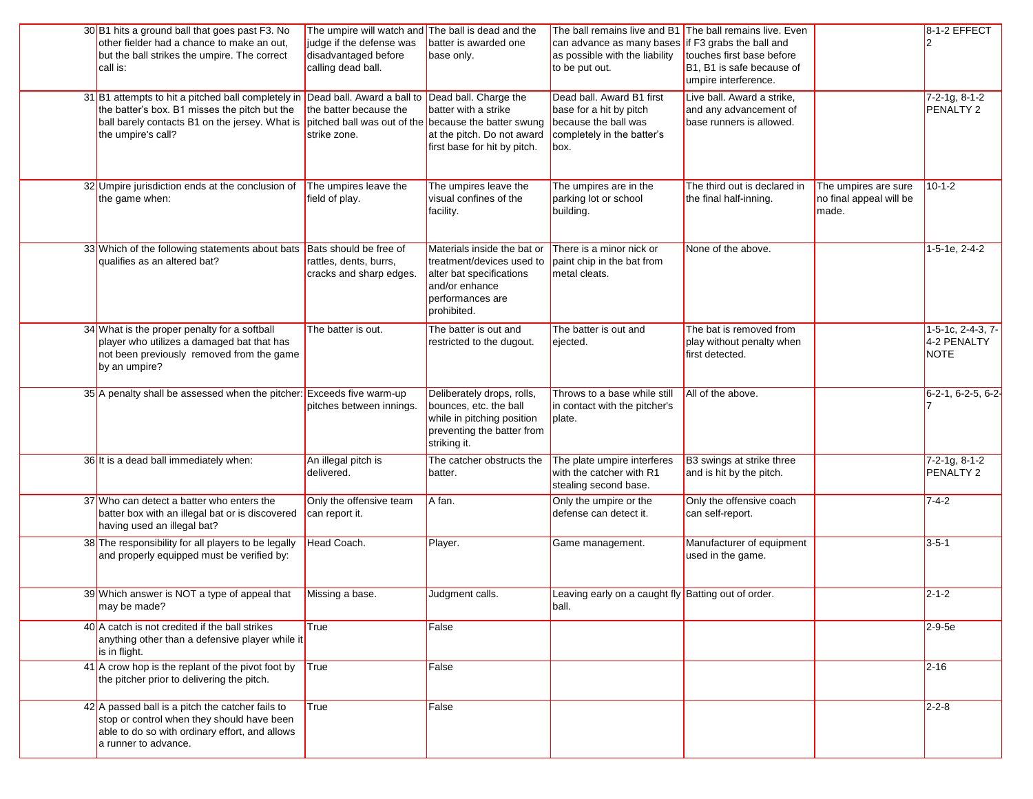| 30 B1 hits a ground ball that goes past F3. No<br>other fielder had a chance to make an out,<br>but the ball strikes the umpire. The correct<br>call is:                                               | The umpire will watch and The ball is dead and the<br>judge if the defense was<br>disadvantaged before<br>calling dead ball. | batter is awarded one<br>base only.                                                                                                       | The ball remains live and B1 The ball remains live. Even<br>can advance as many bases<br>as possible with the liability<br>to be put out. | if F3 grabs the ball and<br>touches first base before<br>B <sub>1</sub> , B <sub>1</sub> is safe because of<br>umpire interference. |                                                          | 8-1-2 EFFECT                                    |
|--------------------------------------------------------------------------------------------------------------------------------------------------------------------------------------------------------|------------------------------------------------------------------------------------------------------------------------------|-------------------------------------------------------------------------------------------------------------------------------------------|-------------------------------------------------------------------------------------------------------------------------------------------|-------------------------------------------------------------------------------------------------------------------------------------|----------------------------------------------------------|-------------------------------------------------|
| 31 B1 attempts to hit a pitched ball completely in Dead ball. Award a ball to<br>the batter's box. B1 misses the pitch but the<br>ball barely contacts B1 on the jersey. What is<br>the umpire's call? | the batter because the<br>pitched ball was out of the because the batter swung<br>strike zone.                               | Dead ball. Charge the<br>batter with a strike<br>at the pitch. Do not award<br>first base for hit by pitch.                               | Dead ball. Award B1 first<br>base for a hit by pitch<br>because the ball was<br>completely in the batter's<br>box.                        | Live ball. Award a strike,<br>and any advancement of<br>base runners is allowed.                                                    |                                                          | $7-2-1g$ , 8-1-2<br>PENALTY 2                   |
| 32 Umpire jurisdiction ends at the conclusion of<br>the game when:                                                                                                                                     | The umpires leave the<br>field of play.                                                                                      | The umpires leave the<br>visual confines of the<br>facility.                                                                              | The umpires are in the<br>parking lot or school<br>building.                                                                              | The third out is declared in<br>the final half-inning.                                                                              | The umpires are sure<br>no final appeal will be<br>made. | $10-1-2$                                        |
| 33 Which of the following statements about bats<br>qualifies as an altered bat?                                                                                                                        | Bats should be free of<br>rattles, dents, burrs,<br>cracks and sharp edges.                                                  | Materials inside the bat or<br>treatment/devices used to<br>alter bat specifications<br>and/or enhance<br>performances are<br>prohibited. | There is a minor nick or<br>paint chip in the bat from<br>metal cleats.                                                                   | None of the above.                                                                                                                  |                                                          | 1-5-1e, 2-4-2                                   |
| 34 What is the proper penalty for a softball<br>player who utilizes a damaged bat that has<br>not been previously removed from the game<br>by an umpire?                                               | The batter is out.                                                                                                           | The batter is out and<br>restricted to the dugout.                                                                                        | The batter is out and<br>ejected.                                                                                                         | The bat is removed from<br>play without penalty when<br>first detected.                                                             |                                                          | 1-5-1c, 2-4-3, 7-<br>4-2 PENALTY<br><b>NOTE</b> |
| 35 A penalty shall be assessed when the pitcher: Exceeds five warm-up                                                                                                                                  | pitches between innings.                                                                                                     | Deliberately drops, rolls,<br>bounces, etc. the ball<br>while in pitching position<br>preventing the batter from<br>striking it.          | Throws to a base while still<br>in contact with the pitcher's<br>plate.                                                                   | All of the above.                                                                                                                   |                                                          | $6-2-1, 6-2-5, 6-2-$                            |
| 36 It is a dead ball immediately when:                                                                                                                                                                 | An illegal pitch is<br>delivered.                                                                                            | The catcher obstructs the<br>batter.                                                                                                      | The plate umpire interferes<br>with the catcher with R1<br>stealing second base.                                                          | B3 swings at strike three<br>and is hit by the pitch.                                                                               |                                                          | $7-2-1g$ , 8-1-2<br>PENALTY 2                   |
| 37 Who can detect a batter who enters the<br>batter box with an illegal bat or is discovered<br>having used an illegal bat?                                                                            | Only the offensive team<br>can report it.                                                                                    | A fan.                                                                                                                                    | Only the umpire or the<br>defense can detect it.                                                                                          | Only the offensive coach<br>can self-report.                                                                                        |                                                          | $7 - 4 - 2$                                     |
| 38 The responsibility for all players to be legally<br>and properly equipped must be verified by:                                                                                                      | Head Coach.                                                                                                                  | Player.                                                                                                                                   | Game management.                                                                                                                          | Manufacturer of equipment<br>used in the game.                                                                                      |                                                          | $3 - 5 - 1$                                     |
| 39 Which answer is NOT a type of appeal that<br>may be made?                                                                                                                                           | Missing a base.                                                                                                              | Judgment calls.                                                                                                                           | Leaving early on a caught fly Batting out of order.<br>ball.                                                                              |                                                                                                                                     |                                                          | $2 - 1 - 2$                                     |
| $40$ A catch is not credited if the ball strikes<br>anything other than a defensive player while it<br>is in flight.                                                                                   | True                                                                                                                         | False                                                                                                                                     |                                                                                                                                           |                                                                                                                                     |                                                          | $2-9-5e$                                        |
| 41 A crow hop is the replant of the pivot foot by<br>the pitcher prior to delivering the pitch.                                                                                                        | True                                                                                                                         | False                                                                                                                                     |                                                                                                                                           |                                                                                                                                     |                                                          | $2 - 16$                                        |
| 42 A passed ball is a pitch the catcher fails to<br>stop or control when they should have been<br>able to do so with ordinary effort, and allows<br>a runner to advance.                               | True                                                                                                                         | False                                                                                                                                     |                                                                                                                                           |                                                                                                                                     |                                                          | $2 - 2 - 8$                                     |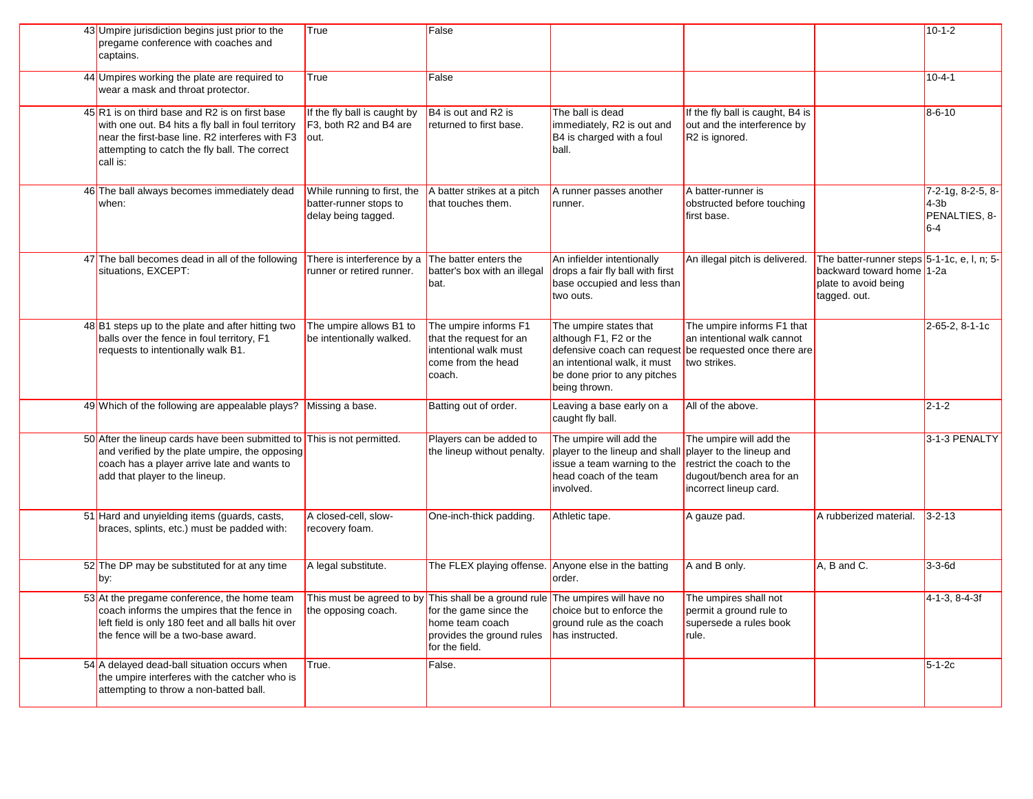| 43 Umpire jurisdiction begins just prior to the<br>pregame conference with coaches and<br>captains.                                                                                                                  | True                                                                                                 | False                                                                                                                                                                      |                                                                                                                                                                  |                                                                                                                                        |                                                                                                                  | $10 - 1 - 2$                                          |
|----------------------------------------------------------------------------------------------------------------------------------------------------------------------------------------------------------------------|------------------------------------------------------------------------------------------------------|----------------------------------------------------------------------------------------------------------------------------------------------------------------------------|------------------------------------------------------------------------------------------------------------------------------------------------------------------|----------------------------------------------------------------------------------------------------------------------------------------|------------------------------------------------------------------------------------------------------------------|-------------------------------------------------------|
| 44 Umpires working the plate are required to<br>wear a mask and throat protector.                                                                                                                                    | True                                                                                                 | False                                                                                                                                                                      |                                                                                                                                                                  |                                                                                                                                        |                                                                                                                  | $10 - 4 - 1$                                          |
| 45 R1 is on third base and R2 is on first base<br>with one out. B4 hits a fly ball in foul territory<br>near the first-base line. R2 interferes with F3<br>attempting to catch the fly ball. The correct<br>call is: | If the fly ball is caught by<br>F <sub>3</sub> . both R <sub>2</sub> and B <sub>4</sub> are<br>lout. | B4 is out and R2 is<br>returned to first base.                                                                                                                             | The ball is dead<br>immediately, R2 is out and<br>B4 is charged with a foul<br>ball.                                                                             | If the fly ball is caught, B4 is<br>out and the interference by<br>R <sub>2</sub> is ignored.                                          |                                                                                                                  | $8 - 6 - 10$                                          |
| 46 The ball always becomes immediately dead<br>when:                                                                                                                                                                 | While running to first, the<br>batter-runner stops to<br>delay being tagged.                         | A batter strikes at a pitch<br>that touches them.                                                                                                                          | A runner passes another<br>runner.                                                                                                                               | A batter-runner is<br>obstructed before touching<br>first base.                                                                        |                                                                                                                  | 7-2-1g, 8-2-5, 8-<br>$4-3b$<br>PENALTIES. 8-<br>$6-4$ |
| 47 The ball becomes dead in all of the following<br>situations, EXCEPT:                                                                                                                                              | There is interference by a<br>runner or retired runner.                                              | The batter enters the<br>batter's box with an illegal<br>bat.                                                                                                              | An infielder intentionally<br>drops a fair fly ball with first<br>base occupied and less than<br>two outs.                                                       | An illegal pitch is delivered.                                                                                                         | The batter-runner steps 5-1-1c, e, l, n; 5-<br>backward toward home 1-2a<br>plate to avoid being<br>tagged. out. |                                                       |
| 48 B1 steps up to the plate and after hitting two<br>balls over the fence in foul territory, F1<br>requests to intentionally walk B1.                                                                                | The umpire allows B1 to<br>be intentionally walked.                                                  | The umpire informs F1<br>that the request for an<br>intentional walk must<br>come from the head<br>coach.                                                                  | The umpire states that<br>although F1, F2 or the<br>defensive coach can request<br>an intentional walk, it must<br>be done prior to any pitches<br>being thrown. | The umpire informs F1 that<br>an intentional walk cannot<br>be requested once there are<br>two strikes.                                |                                                                                                                  | 2-65-2, 8-1-1c                                        |
| 49 Which of the following are appealable plays? Missing a base.                                                                                                                                                      |                                                                                                      | Batting out of order.                                                                                                                                                      | Leaving a base early on a<br>caught fly ball.                                                                                                                    | All of the above.                                                                                                                      |                                                                                                                  | $2 - 1 - 2$                                           |
| 50 After the lineup cards have been submitted to This is not permitted.<br>and verified by the plate umpire, the opposing<br>coach has a player arrive late and wants to<br>add that player to the lineup.           |                                                                                                      | Players can be added to<br>the lineup without penalty.                                                                                                                     | The umpire will add the<br>player to the lineup and shall<br>issue a team warning to the<br>head coach of the team<br>involved.                                  | The umpire will add the<br>player to the lineup and<br>restrict the coach to the<br>dugout/bench area for an<br>incorrect lineup card. |                                                                                                                  | 3-1-3 PENALTY                                         |
| 51 Hard and unyielding items (guards, casts,<br>braces, splints, etc.) must be padded with:                                                                                                                          | A closed-cell, slow-<br>recovery foam.                                                               | One-inch-thick padding.                                                                                                                                                    | Athletic tape.                                                                                                                                                   | A gauze pad.                                                                                                                           | A rubberized material.                                                                                           | $3 - 2 - 13$                                          |
| 52 The DP may be substituted for at any time<br>by:                                                                                                                                                                  | A legal substitute.                                                                                  | The FLEX playing offense.                                                                                                                                                  | Anyone else in the batting<br>order.                                                                                                                             | A and B only.                                                                                                                          | A, B and C.                                                                                                      | $3-3-6d$                                              |
| 53 At the pregame conference, the home team<br>coach informs the umpires that the fence in<br>left field is only 180 feet and all balls hit over<br>the fence will be a two-base award.                              | the opposing coach.                                                                                  | This must be agreed to by This shall be a ground rule The umpires will have no<br>for the game since the<br>home team coach<br>provides the ground rules<br>for the field. | choice but to enforce the<br>ground rule as the coach<br>has instructed.                                                                                         | The umpires shall not<br>permit a ground rule to<br>supersede a rules book<br>rule.                                                    |                                                                                                                  | 4-1-3, 8-4-3f                                         |
| 54 A delayed dead-ball situation occurs when<br>the umpire interferes with the catcher who is<br>attempting to throw a non-batted ball.                                                                              | True.                                                                                                | False.                                                                                                                                                                     |                                                                                                                                                                  |                                                                                                                                        |                                                                                                                  | $5-1-2c$                                              |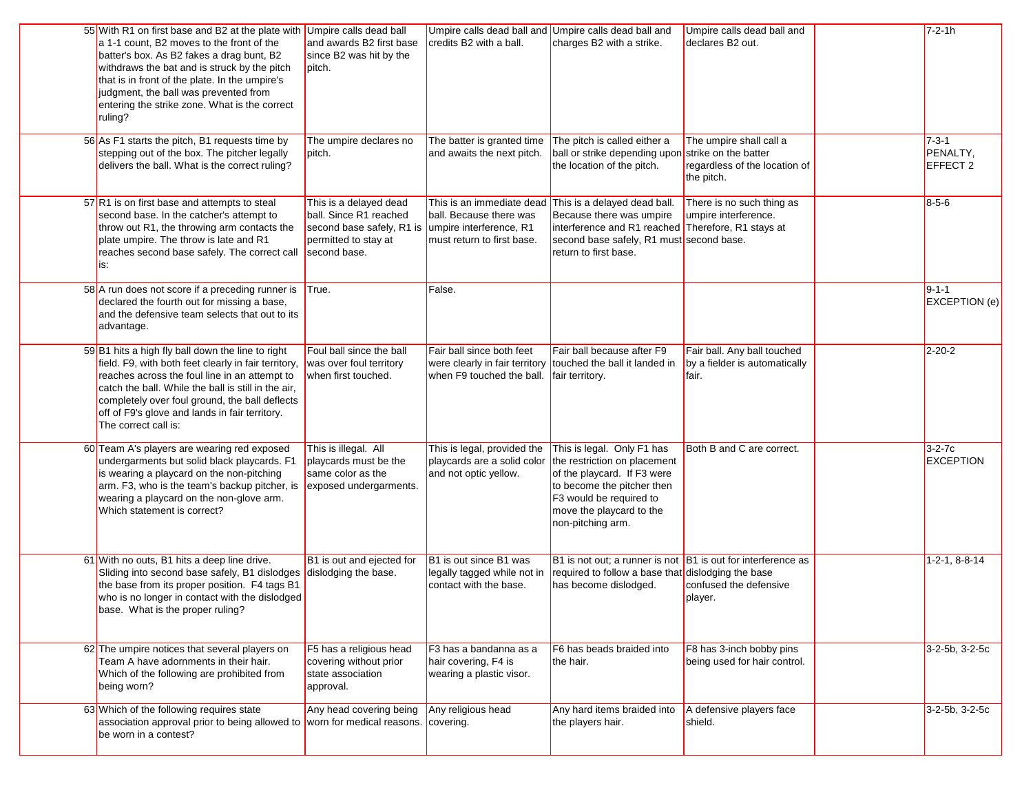| 55 With R1 on first base and B2 at the plate with Umpire calls dead ball<br>a 1-1 count, B2 moves to the front of the<br>batter's box. As B2 fakes a drag bunt, B2<br>withdraws the bat and is struck by the pitch<br>that is in front of the plate. In the umpire's<br>judgment, the ball was prevented from<br>entering the strike zone. What is the correct<br>ruling? | and awards B2 first base<br>since B2 was hit by the<br>pitch.                                                         | Umpire calls dead ball and Umpire calls dead ball and<br>credits B2 with a ball. | charges B2 with a strike.                                                                                                                                                                                                       | Umpire calls dead ball and<br>declares B2 out.                         | $7 - 2 - 1h$                        |
|---------------------------------------------------------------------------------------------------------------------------------------------------------------------------------------------------------------------------------------------------------------------------------------------------------------------------------------------------------------------------|-----------------------------------------------------------------------------------------------------------------------|----------------------------------------------------------------------------------|---------------------------------------------------------------------------------------------------------------------------------------------------------------------------------------------------------------------------------|------------------------------------------------------------------------|-------------------------------------|
| 56 As F1 starts the pitch, B1 requests time by<br>stepping out of the box. The pitcher legally<br>delivers the ball. What is the correct ruling?                                                                                                                                                                                                                          | The umpire declares no<br>pitch.                                                                                      | The batter is granted time<br>and awaits the next pitch.                         | The pitch is called either a<br>ball or strike depending upon strike on the batter<br>the location of the pitch.                                                                                                                | The umpire shall call a<br>regardless of the location of<br>the pitch. | $7 - 3 - 1$<br>PENALTY,<br>EFFECT 2 |
| 57 R1 is on first base and attempts to steal<br>second base. In the catcher's attempt to<br>throw out R1, the throwing arm contacts the<br>plate umpire. The throw is late and R1<br>reaches second base safely. The correct call<br>is:                                                                                                                                  | This is a delayed dead<br>ball. Since R1 reached<br>second base safely, R1 is<br>permitted to stay at<br>second base. | ball. Because there was<br>umpire interference, R1<br>must return to first base. | This is an immediate dead This is a delayed dead ball.<br>Because there was umpire<br>interference and R1 reached Therefore, R1 stays at<br>second base safely, R1 must second base.<br>return to first base.                   | There is no such thing as<br>umpire interference.                      | $8 - 5 - 6$                         |
| 58 A run does not score if a preceding runner is<br>declared the fourth out for missing a base,<br>and the defensive team selects that out to its<br>advantage.                                                                                                                                                                                                           | True.                                                                                                                 | False.                                                                           |                                                                                                                                                                                                                                 |                                                                        | $9 - 1 - 1$<br>EXCEPTION (e)        |
| 59 B1 hits a high fly ball down the line to right<br>field. F9, with both feet clearly in fair territory,<br>reaches across the foul line in an attempt to<br>catch the ball. While the ball is still in the air,<br>completely over foul ground, the ball deflects<br>off of F9's glove and lands in fair territory.<br>The correct call is:                             | Foul ball since the ball<br>was over foul territory<br>when first touched.                                            | Fair ball since both feet<br>when F9 touched the ball.                           | Fair ball because after F9<br>were clearly in fair territory touched the ball it landed in<br>fair territory.                                                                                                                   | Fair ball. Any ball touched<br>by a fielder is automatically<br>fair.  | $2 - 20 - 2$                        |
| 60 Team A's players are wearing red exposed<br>undergarments but solid black playcards. F1<br>is wearing a playcard on the non-pitching<br>arm. F3, who is the team's backup pitcher, is<br>wearing a playcard on the non-glove arm.<br>Which statement is correct?                                                                                                       | This is illegal. All<br>playcards must be the<br>same color as the<br>exposed undergarments.                          | This is legal, provided the<br>and not optic yellow.                             | This is legal. Only F1 has<br>playcards are a solid color the restriction on placement<br>of the playcard. If F3 were<br>to become the pitcher then<br>F3 would be required to<br>move the playcard to the<br>non-pitching arm. | Both B and C are correct.                                              | $3-2-7c$<br><b>EXCEPTION</b>        |
| 61 With no outs, B1 hits a deep line drive.<br>Sliding into second base safely, B1 dislodges dislodging the base.<br>the base from its proper position. F4 tags B1<br>who is no longer in contact with the dislodged<br>base. What is the proper ruling?                                                                                                                  | B1 is out and ejected for                                                                                             | B1 is out since B1 was<br>legally tagged while not in<br>contact with the base.  | B1 is not out; a runner is not B1 is out for interference as<br>required to follow a base that dislodging the base<br>has become dislodged.                                                                                     | confused the defensive<br>player.                                      | $1-2-1, 8-8-14$                     |
| 62 The umpire notices that several players on<br>Team A have adornments in their hair.<br>Which of the following are prohibited from<br>being worn?                                                                                                                                                                                                                       | F5 has a religious head<br>covering without prior<br>state association<br>approval.                                   | F3 has a bandanna as a<br>hair covering, F4 is<br>wearing a plastic visor.       | F6 has beads braided into<br>the hair.                                                                                                                                                                                          | F8 has 3-inch bobby pins<br>being used for hair control.               | 3-2-5b, 3-2-5c                      |
| 63 Which of the following requires state<br>association approval prior to being allowed to worn for medical reasons.<br>be worn in a contest?                                                                                                                                                                                                                             | Any head covering being                                                                                               | Any religious head<br>covering.                                                  | Any hard items braided into<br>the players hair.                                                                                                                                                                                | A defensive players face<br>shield.                                    | 3-2-5b, 3-2-5c                      |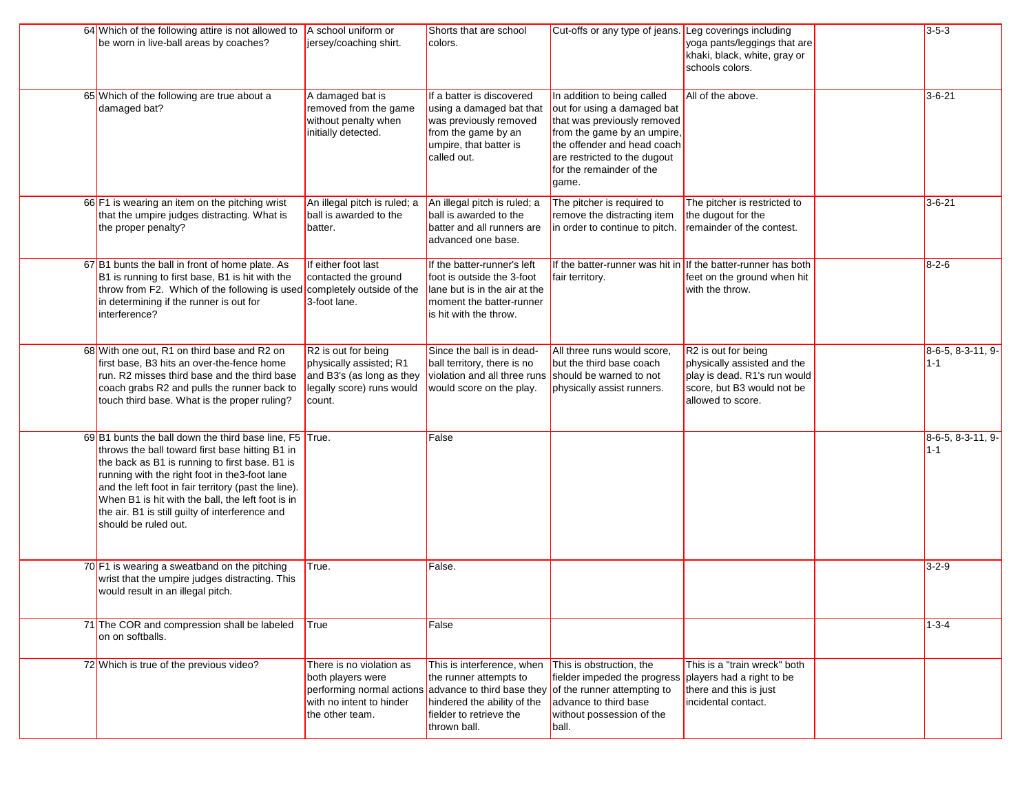| 64 Which of the following attire is not allowed to $\overline{A}$ school uniform or<br>be worn in live-ball areas by coaches?                                                                                                                                                                                                                                                                         | jersey/coaching shirt.                                                                                                         | Shorts that are school<br>colors.                                                                                                                                                      | Cut-offs or any type of jeans. Leg coverings including                                                                                                                                                                       | yoga pants/leggings that are                                                                                                          | $3 - 5 - 3$                  |
|-------------------------------------------------------------------------------------------------------------------------------------------------------------------------------------------------------------------------------------------------------------------------------------------------------------------------------------------------------------------------------------------------------|--------------------------------------------------------------------------------------------------------------------------------|----------------------------------------------------------------------------------------------------------------------------------------------------------------------------------------|------------------------------------------------------------------------------------------------------------------------------------------------------------------------------------------------------------------------------|---------------------------------------------------------------------------------------------------------------------------------------|------------------------------|
|                                                                                                                                                                                                                                                                                                                                                                                                       |                                                                                                                                |                                                                                                                                                                                        |                                                                                                                                                                                                                              | khaki, black, white, gray or<br>schools colors.                                                                                       |                              |
| 65 Which of the following are true about a<br>damaged bat?                                                                                                                                                                                                                                                                                                                                            | A damaged bat is<br>removed from the game<br>without penalty when<br>initially detected.                                       | If a batter is discovered<br>using a damaged bat that<br>was previously removed<br>from the game by an<br>umpire, that batter is<br>called out.                                        | In addition to being called<br>out for using a damaged bat<br>that was previously removed<br>from the game by an umpire,<br>the offender and head coach<br>are restricted to the dugout<br>for the remainder of the<br>game. | All of the above.                                                                                                                     | $3 - 6 - 21$                 |
| 66 F1 is wearing an item on the pitching wrist<br>that the umpire judges distracting. What is<br>the proper penalty?                                                                                                                                                                                                                                                                                  | An illegal pitch is ruled; a<br>ball is awarded to the<br>batter.                                                              | An illegal pitch is ruled; a<br>ball is awarded to the<br>batter and all runners are<br>advanced one base.                                                                             | The pitcher is required to<br>remove the distracting item<br>in order to continue to pitch.                                                                                                                                  | The pitcher is restricted to<br>the dugout for the<br>remainder of the contest.                                                       | $3 - 6 - 21$                 |
| 67 B1 bunts the ball in front of home plate. As<br>B1 is running to first base, B1 is hit with the<br>throw from F2. Which of the following is used completely outside of the<br>in determining if the runner is out for<br>interference?                                                                                                                                                             | If either foot last<br>contacted the ground<br>3-foot lane.                                                                    | If the batter-runner's left<br>foot is outside the 3-foot<br>lane but is in the air at the<br>moment the batter-runner<br>is hit with the throw.                                       | If the batter-runner was hit in If the batter-runner has both<br>fair territory.                                                                                                                                             | feet on the ground when hit<br>with the throw.                                                                                        | $8 - 2 - 6$                  |
| 68 With one out, R1 on third base and R2 on<br>first base, B3 hits an over-the-fence home<br>run. R2 misses third base and the third base<br>coach grabs R2 and pulls the runner back to<br>touch third base. What is the proper ruling?                                                                                                                                                              | R <sub>2</sub> is out for being<br>physically assisted; R1<br>and B3's (as long as they<br>legally score) runs would<br>count. | Since the ball is in dead-<br>ball territory, there is no<br>violation and all three runs should be warned to not<br>would score on the play.                                          | All three runs would score.<br>but the third base coach<br>physically assist runners.                                                                                                                                        | R2 is out for being<br>physically assisted and the<br>play is dead. R1's run would<br>score, but B3 would not be<br>allowed to score. | 8-6-5, 8-3-11, 9-<br>$1 - 1$ |
| 69 B1 bunts the ball down the third base line, F5 True.<br>throws the ball toward first base hitting B1 in<br>the back as B1 is running to first base. B1 is<br>running with the right foot in the3-foot lane<br>and the left foot in fair territory (past the line).<br>When B1 is hit with the ball, the left foot is in<br>the air. B1 is still guilty of interference and<br>should be ruled out. |                                                                                                                                | False                                                                                                                                                                                  |                                                                                                                                                                                                                              |                                                                                                                                       | 8-6-5, 8-3-11, 9-<br>$1 - 1$ |
| 70 F1 is wearing a sweatband on the pitching<br>wrist that the umpire judges distracting. This<br>would result in an illegal pitch.                                                                                                                                                                                                                                                                   | True.                                                                                                                          | False.                                                                                                                                                                                 |                                                                                                                                                                                                                              |                                                                                                                                       | $3 - 2 - 9$                  |
| 71 The COR and compression shall be labeled<br>on on softballs.                                                                                                                                                                                                                                                                                                                                       | True                                                                                                                           | False                                                                                                                                                                                  |                                                                                                                                                                                                                              |                                                                                                                                       | $1 - 3 - 4$                  |
| 72 Which is true of the previous video?                                                                                                                                                                                                                                                                                                                                                               | There is no violation as<br>both players were<br>with no intent to hinder<br>the other team.                                   | This is interference, when<br>the runner attempts to<br>performing normal actions advance to third base they<br>hindered the ability of the<br>fielder to retrieve the<br>thrown ball. | This is obstruction, the<br>fielder impeded the progress<br>of the runner attempting to<br>advance to third base<br>without possession of the<br>ball.                                                                       | This is a "train wreck" both<br>players had a right to be<br>there and this is just<br>incidental contact.                            |                              |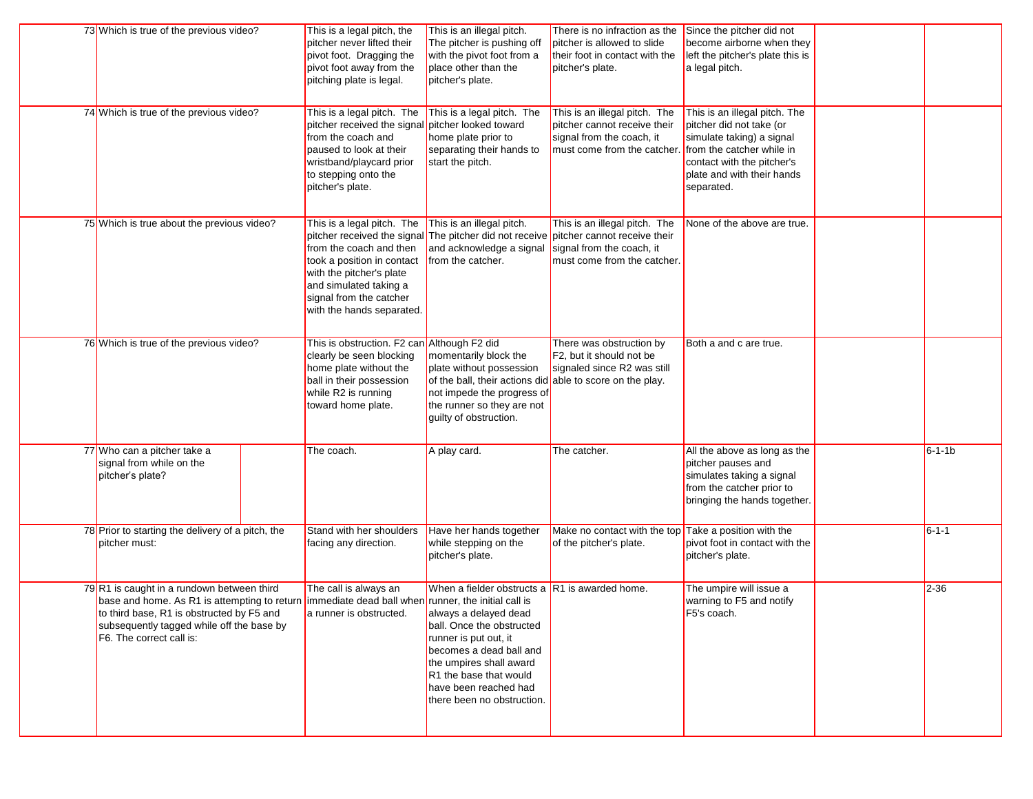| 73 Which is true of the previous video?                                                                                                                                                                                                                              | This is a legal pitch, the<br>pitcher never lifted their<br>pivot foot. Dragging the<br>pivot foot away from the<br>pitching plate is legal.                                                             | This is an illegal pitch.<br>The pitcher is pushing off<br>with the pivot foot from a<br>place other than the<br>pitcher's plate.                                                                                                                                       | There is no infraction as the<br>pitcher is allowed to slide<br>their foot in contact with the<br>pitcher's plate.             | Since the pitcher did not<br>become airborne when they<br>left the pitcher's plate this is<br>a legal pitch.                                                                                  |              |
|----------------------------------------------------------------------------------------------------------------------------------------------------------------------------------------------------------------------------------------------------------------------|----------------------------------------------------------------------------------------------------------------------------------------------------------------------------------------------------------|-------------------------------------------------------------------------------------------------------------------------------------------------------------------------------------------------------------------------------------------------------------------------|--------------------------------------------------------------------------------------------------------------------------------|-----------------------------------------------------------------------------------------------------------------------------------------------------------------------------------------------|--------------|
| 74 Which is true of the previous video?                                                                                                                                                                                                                              | This is a legal pitch. The<br>pitcher received the signal pitcher looked toward<br>from the coach and<br>paused to look at their<br>wristband/playcard prior<br>to stepping onto the<br>pitcher's plate. | This is a legal pitch. The<br>home plate prior to<br>separating their hands to<br>start the pitch.                                                                                                                                                                      | This is an illegal pitch. The<br>pitcher cannot receive their<br>signal from the coach, it<br>must come from the catcher.      | This is an illegal pitch. The<br>pitcher did not take (or<br>simulate taking) a signal<br>from the catcher while in<br>contact with the pitcher's<br>plate and with their hands<br>separated. |              |
| 75 Which is true about the previous video?                                                                                                                                                                                                                           | This is a legal pitch. The<br>from the coach and then<br>took a position in contact<br>with the pitcher's plate<br>and simulated taking a<br>signal from the catcher<br>with the hands separated.        | This is an illegal pitch.<br>pitcher received the signal The pitcher did not receive<br>and acknowledge a signal<br>from the catcher.                                                                                                                                   | This is an illegal pitch. The<br>pitcher cannot receive their<br>signal from the coach, it<br>must come from the catcher.      | None of the above are true.                                                                                                                                                                   |              |
| 76 Which is true of the previous video?                                                                                                                                                                                                                              | This is obstruction. F2 can Although F2 did<br>clearly be seen blocking<br>home plate without the<br>ball in their possession<br>while R2 is running<br>toward home plate.                               | momentarily block the<br>plate without possession<br>of the ball, their actions did<br>not impede the progress of<br>the runner so they are not<br>guilty of obstruction.                                                                                               | There was obstruction by<br>F <sub>2</sub> , but it should not be<br>signaled since R2 was still<br>able to score on the play. | Both a and c are true.                                                                                                                                                                        |              |
| 77 Who can a pitcher take a<br>signal from while on the<br>pitcher's plate?                                                                                                                                                                                          | The coach.                                                                                                                                                                                               | A play card.                                                                                                                                                                                                                                                            | The catcher.                                                                                                                   | All the above as long as the<br>pitcher pauses and<br>simulates taking a signal<br>from the catcher prior to<br>bringing the hands together.                                                  | $6 - 1 - 1b$ |
| 78 Prior to starting the delivery of a pitch, the<br>pitcher must:                                                                                                                                                                                                   | Stand with her shoulders<br>facing any direction.                                                                                                                                                        | Have her hands together<br>while stepping on the<br>pitcher's plate.                                                                                                                                                                                                    | Make no contact with the top<br>of the pitcher's plate.                                                                        | Take a position with the<br>pivot foot in contact with the<br>pitcher's plate.                                                                                                                | $6 - 1 - 1$  |
| 79R1 is caught in a rundown between third<br>base and home. As R1 is attempting to return immediate dead ball when runner, the initial call is<br>to third base, R1 is obstructed by F5 and<br>subsequently tagged while off the base by<br>F6. The correct call is: | The call is always an<br>a runner is obstructed.                                                                                                                                                         | When a fielder obstructs a $ R1$ is awarded home.<br>always a delayed dead<br>ball. Once the obstructed<br>runner is put out, it<br>becomes a dead ball and<br>the umpires shall award<br>R1 the base that would<br>have been reached had<br>there been no obstruction. |                                                                                                                                | The umpire will issue a<br>warning to F5 and notify<br>F5's coach.                                                                                                                            | $2 - 36$     |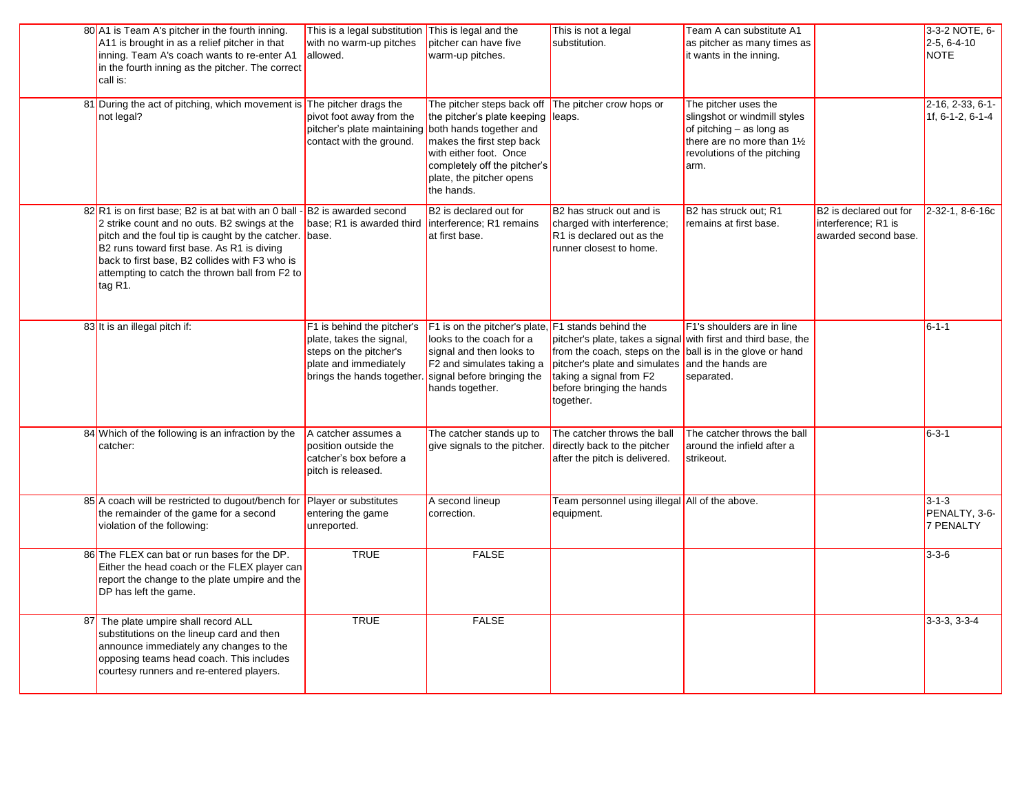|    | 80 A1 is Team A's pitcher in the fourth inning.<br>A11 is brought in as a relief pitcher in that<br>inning. Team A's coach wants to re-enter A1<br>in the fourth inning as the pitcher. The correct<br>call is:                                                                                                            | This is a legal substitution This is legal and the<br>with no warm-up pitches<br>allowed.                                               | pitcher can have five<br>warm-up pitches.                                                                                                                                                                             | This is not a legal<br>substitution.                                                                                                                                                                                                                | Team A can substitute A1<br>as pitcher as many times as<br>it wants in the inning.                                                                       |                                                                       | 3-3-2 NOTE, 6-<br>$2-5, 6-4-10$<br><b>NOTE</b>   |
|----|----------------------------------------------------------------------------------------------------------------------------------------------------------------------------------------------------------------------------------------------------------------------------------------------------------------------------|-----------------------------------------------------------------------------------------------------------------------------------------|-----------------------------------------------------------------------------------------------------------------------------------------------------------------------------------------------------------------------|-----------------------------------------------------------------------------------------------------------------------------------------------------------------------------------------------------------------------------------------------------|----------------------------------------------------------------------------------------------------------------------------------------------------------|-----------------------------------------------------------------------|--------------------------------------------------|
|    | 81 During the act of pitching, which movement is The pitcher drags the<br>not legal?                                                                                                                                                                                                                                       | pivot foot away from the<br>pitcher's plate maintaining<br>contact with the ground.                                                     | The pitcher steps back off<br>the pitcher's plate keeping<br>both hands together and<br>makes the first step back<br>with either foot. Once<br>completely off the pitcher's<br>plate, the pitcher opens<br>the hands. | The pitcher crow hops or<br>leaps.                                                                                                                                                                                                                  | The pitcher uses the<br>slingshot or windmill styles<br>of pitching $-$ as long as<br>there are no more than 11/2<br>revolutions of the pitching<br>arm. |                                                                       | $2-16, 2-33, 6-1-$<br>1f, 6-1-2, 6-1-4           |
|    | 82 R1 is on first base; B2 is at bat with an 0 ball<br>2 strike count and no outs. B2 swings at the<br>pitch and the foul tip is caught by the catcher. base.<br>B2 runs toward first base. As R1 is diving<br>back to first base, B2 collides with F3 who is<br>attempting to catch the thrown ball from F2 to<br>tag R1. | -B2 is awarded second<br>base; R1 is awarded third                                                                                      | B2 is declared out for<br>interference; R1 remains<br>at first base.                                                                                                                                                  | B2 has struck out and is<br>charged with interference;<br>R1 is declared out as the<br>runner closest to home.                                                                                                                                      | B2 has struck out; R1<br>remains at first base.                                                                                                          | B2 is declared out for<br>interference; R1 is<br>awarded second base. | 2-32-1, 8-6-16c                                  |
|    | 83 It is an illegal pitch if:                                                                                                                                                                                                                                                                                              | F1 is behind the pitcher's<br>plate, takes the signal,<br>steps on the pitcher's<br>plate and immediately<br>brings the hands together. | $F1$ is on the pitcher's plate, $F1$ stands behind the<br>looks to the coach for a<br>signal and then looks to<br>F2 and simulates taking a<br>signal before bringing the<br>hands together.                          | pitcher's plate, takes a signal with first and third base, the<br>from the coach, steps on the ball is in the glove or hand<br>pitcher's plate and simulates and the hands are<br>taking a signal from F2<br>before bringing the hands<br>together. | F1's shoulders are in line<br>separated.                                                                                                                 |                                                                       | $6 - 1 - 1$                                      |
|    | 84 Which of the following is an infraction by the<br>catcher:                                                                                                                                                                                                                                                              | A catcher assumes a<br>position outside the<br>catcher's box before a<br>pitch is released.                                             | The catcher stands up to<br>give signals to the pitcher.                                                                                                                                                              | The catcher throws the ball<br>directly back to the pitcher<br>after the pitch is delivered.                                                                                                                                                        | The catcher throws the ball<br>around the infield after a<br>strikeout.                                                                                  |                                                                       | $6 - 3 - 1$                                      |
|    | 85 A coach will be restricted to dugout/bench for<br>the remainder of the game for a second<br>violation of the following:                                                                                                                                                                                                 | Player or substitutes<br>entering the game<br>unreported.                                                                               | A second lineup<br>correction.                                                                                                                                                                                        | Team personnel using illegal All of the above.<br>equipment.                                                                                                                                                                                        |                                                                                                                                                          |                                                                       | $3 - 1 - 3$<br>PENALTY, 3-6-<br><b>7 PENALTY</b> |
|    | 86 The FLEX can bat or run bases for the DP.<br>Either the head coach or the FLEX player can<br>report the change to the plate umpire and the<br>DP has left the game.                                                                                                                                                     | <b>TRUE</b>                                                                                                                             | <b>FALSE</b>                                                                                                                                                                                                          |                                                                                                                                                                                                                                                     |                                                                                                                                                          |                                                                       | $3 - 3 - 6$                                      |
| 87 | The plate umpire shall record ALL<br>substitutions on the lineup card and then<br>announce immediately any changes to the<br>opposing teams head coach. This includes<br>courtesy runners and re-entered players.                                                                                                          | <b>TRUE</b>                                                                                                                             | <b>FALSE</b>                                                                                                                                                                                                          |                                                                                                                                                                                                                                                     |                                                                                                                                                          |                                                                       | $3-3-3, 3-3-4$                                   |